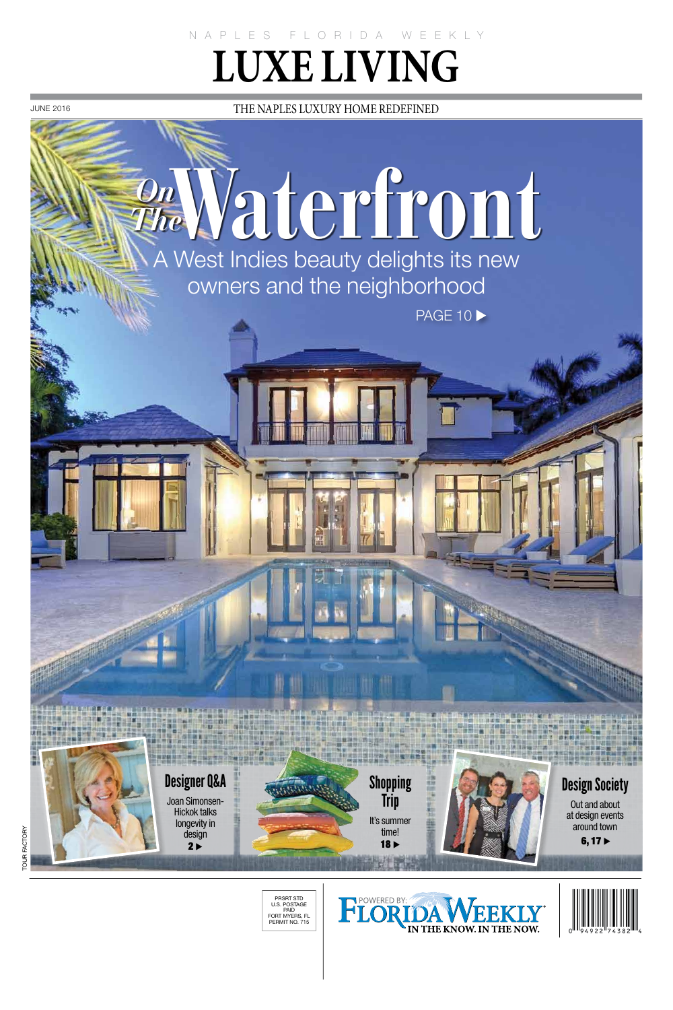NAPLES FLORIDA WEEKLY **LUXE LIVING** 

**JUNE 2016** 

THE NAPLES LUXURY HOME REDEFINED

## Waterfront

A West Indies beauty delights its new owners and the neighborhood

**PAGE 10 >** 



PRSRT STD<br>U.S. POSTAGE D.J. POSTAGE<br>PAID<br>FORT MYERS, FL PERMIT NO. 715



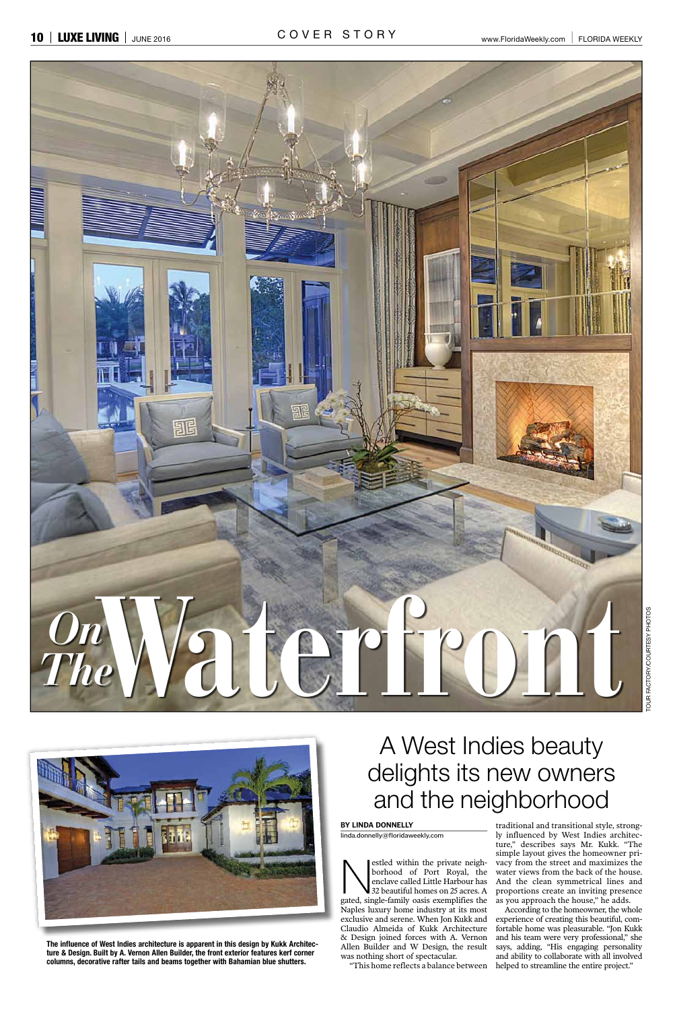

A West Indies beauty



The influence of West Indies architecture is apparent in this design by Kukk Architecture & Design. Built by A. Vernon Allen Builder, the front exterior features kerf corner columns, decorative rafter tails and beams together with Bahamian blue shutters.

## delights its new owners and the neighborhood

## BY LINDA DONNELLY

linda.donnelly@floridaweekly.com

estled within the private neighborhood of Port Royal, the enclave called Little Harbour has 32 beautiful homes on 25 acres. A gated, single-family oasis exemplifies the Naples luxury home industry at its most exclusive and serene. When Jon Kukk and Claudio Almeida of Kukk Architecture & Design joined forces with A. Vernon Allen Builder and W Design, the result was nothing short of spectacular.

"This home reflects a balance between

traditional and transitional style, strongly influenced by West Indies architecture," describes says Mr. Kukk. "The simple layout gives the homeowner privacy from the street and maximizes the water views from the back of the house. And the clean symmetrical lines and proportions create an inviting presence as you approach the house," he adds.

According to the homeowner, the whole experience of creating this beautiful, comfortable home was pleasurable. "Jon Kukk and his team were very professional," she says, adding, "His engaging personality and ability to collaborate with all involved helped to streamline the entire project."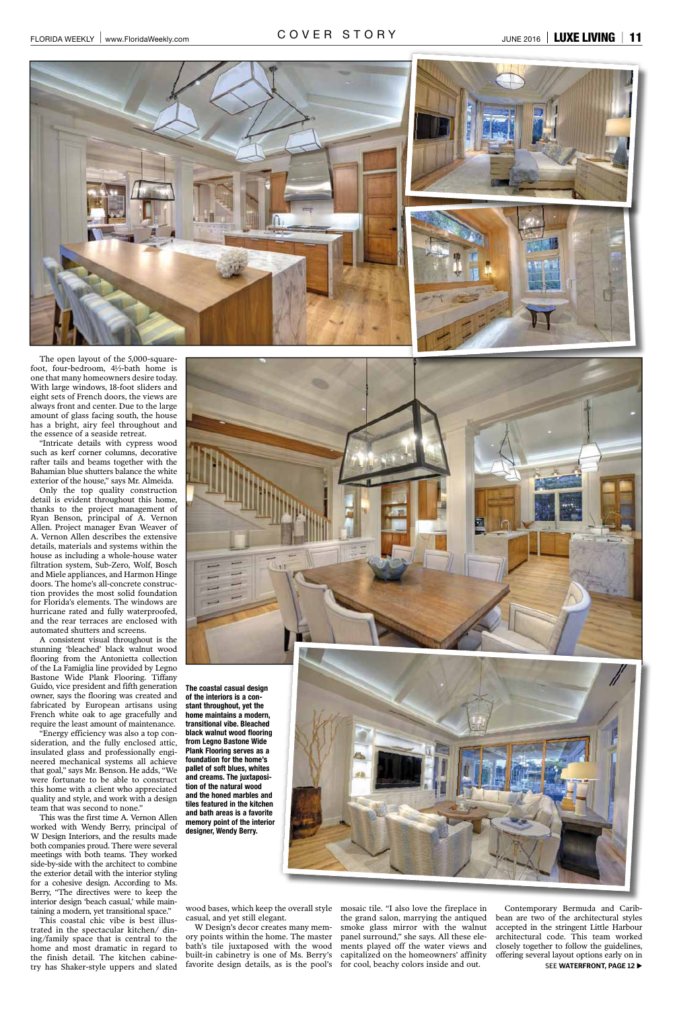



The open layout of the 5,000-squarefoot, four-bedroom, 4½-bath home is one that many homeowners desire today. With large windows, 18-foot sliders and eight sets of French doors, the views are always front and center. Due to the large amount of glass facing south, the house has a bright, airy feel throughout and the essence of a seaside retreat.

"Intricate details with cypress wood such as kerf corner columns, decorative rafter tails and beams together with the Bahamian blue shutters balance the white exterior of the house," says Mr. Almeida.

Only the top quality construction detail is evident throughout this home, thanks to the project management of Ryan Benson, principal of A. Vernon Allen. Project manager Evan Weaver of A. Vernon Allen describes the extensive details, materials and systems within the house as including a whole-house water filtration system, Sub-Zero, Wolf, Bosch and Miele appliances, and Harmon Hinge doors. The home's all-concrete construction provides the most solid foundation for Florida's elements. The windows are hurricane rated and fully waterproofed, and the rear terraces are enclosed with automated shutters and screens.

A consistent visual throughout is the stunning 'bleached' black walnut wood flooring from the Antonietta collection of the La Famiglia line provided by Legno Bastone Wide Plank Flooring. Tiffany Guido, vice president and fifth generation owner, says the flooring was created and fabricated by European artisans using French white oak to age gracefully and require the least amount of maintenance.

"Energy efficiency was also a top consideration, and the fully enclosed attic, insulated glass and professionally engineered mechanical systems all achieve



The coastal casual design of the interiors is a constant throughout, yet the home maintains a modern, transitional vibe. Bleached black walnut wood flooring from Legno Bastone Wide **Plank Flooring serves as a** foundation for the home's pallet of soft blues, whites and creams. The juxtaposition of the natural wood and the honed marbles and tiles featured in the kitchen and bath areas is a favorite memory point of the interior designer, Wendy Berry.



that goal," says Mr. Benson. He adds, "We were fortunate to be able to construct this home with a client who appreciated quality and style, and work with a design team that was second to none."

This was the first time A. Vernon Allen worked with Wendy Berry, principal of W Design Interiors, and the results made both companies proud. There were several meetings with both teams. They worked side-by-side with the architect to combine the exterior detail with the interior styling for a cohesive design. According to Ms. Berry, "The directives were to keep the interior design 'beach casual,' while maintaining a modern, yet transitional space."

This coastal chic vibe is best illustrated in the spectacular kitchen/ dining/family space that is central to the home and most dramatic in regard to the finish detail. The kitchen cabinetry has Shaker-style uppers and slated

wood bases, which keep the overall style casual, and yet still elegant.

W Design's decor creates many memory points within the home. The master bath's tile juxtaposed with the wood built-in cabinetry is one of Ms. Berry's favorite design details, as is the pool's mosaic tile. "I also love the fireplace in the grand salon, marrying the antiqued smoke glass mirror with the walnut panel surround," she says. All these elements played off the water views and capitalized on the homeowners' affinity for cool, beachy colors inside and out.

Contemporary Bermuda and Caribbean are two of the architectural styles accepted in the stringent Little Harbour architectural code. This team worked closely together to follow the guidelines, offering several layout options early on in SEE WATERFRONT, PAGE 12